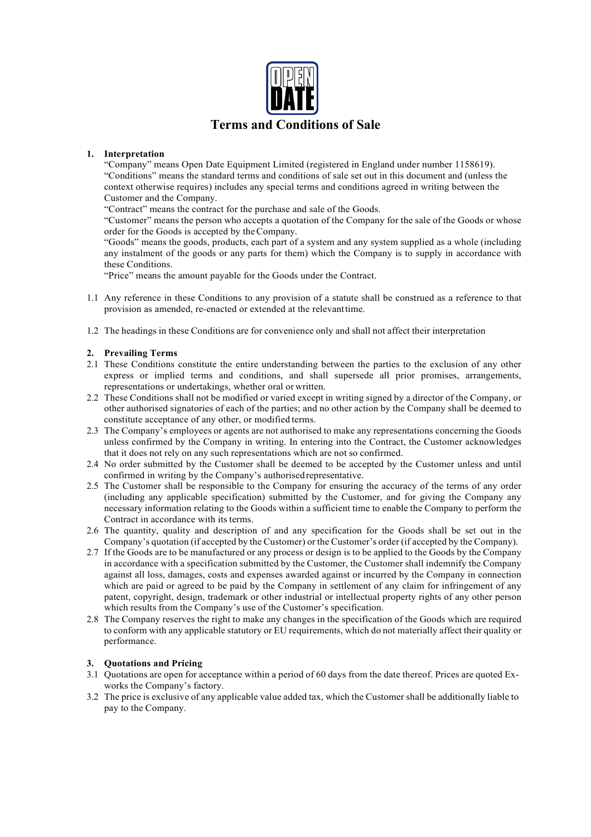

# **1. Interpretation**

"Company" means Open Date Equipment Limited (registered in England under number 1158619). "Conditions" means the standard terms and conditions of sale set out in this document and (unless the context otherwise requires) includes any special terms and conditions agreed in writing between the Customer and the Company.

"Contract" means the contract for the purchase and sale of the Goods.

"Customer" means the person who accepts a quotation of the Company for the sale of the Goods or whose order for the Goods is accepted by theCompany.

"Goods" means the goods, products, each part of a system and any system supplied as a whole (including any instalment of the goods or any parts for them) which the Company is to supply in accordance with these Conditions.

"Price" means the amount payable for the Goods under the Contract.

- 1.1 Any reference in these Conditions to any provision of a statute shall be construed as a reference to that provision as amended, re-enacted or extended at the relevanttime.
- 1.2 The headings in these Conditions are for convenience only and shall not affect their interpretation

## **2. Prevailing Terms**

- 2.1 These Conditions constitute the entire understanding between the parties to the exclusion of any other express or implied terms and conditions, and shall supersede all prior promises, arrangements, representations or undertakings, whether oral or written.
- 2.2 These Conditions shall not be modified or varied except in writing signed by a director of the Company, or other authorised signatories of each of the parties; and no other action by the Company shall be deemed to constitute acceptance of any other, or modified terms.
- 2.3 The Company's employees or agents are not authorised to make any representations concerning the Goods unless confirmed by the Company in writing. In entering into the Contract, the Customer acknowledges that it does not rely on any such representations which are not so confirmed.
- 2.4 No order submitted by the Customer shall be deemed to be accepted by the Customer unless and until confirmed in writing by the Company's authorisedrepresentative.
- 2.5 The Customer shall be responsible to the Company for ensuring the accuracy of the terms of any order (including any applicable specification) submitted by the Customer, and for giving the Company any necessary information relating to the Goods within a sufficient time to enable the Company to perform the Contract in accordance with its terms.
- 2.6 The quantity, quality and description of and any specification for the Goods shall be set out in the Company's quotation (if accepted by the Customer) or the Customer's order (if accepted by the Company).
- 2.7 If the Goods are to be manufactured or any process or design is to be applied to the Goods by the Company in accordance with a specification submitted by the Customer, the Customer shall indemnify the Company against all loss, damages, costs and expenses awarded against or incurred by the Company in connection which are paid or agreed to be paid by the Company in settlement of any claim for infringement of any patent, copyright, design, trademark or other industrial or intellectual property rights of any other person which results from the Company's use of the Customer's specification.
- 2.8 The Company reserves the right to make any changes in the specification of the Goods which are required to conform with any applicable statutory or EU requirements, which do not materially affect their quality or performance.

## **3. Quotations and Pricing**

- 3.1 Quotations are open for acceptance within a period of 60 days from the date thereof. Prices are quoted Exworks the Company's factory.
- 3.2 The price is exclusive of any applicable value added tax, which the Customer shall be additionally liable to pay to the Company.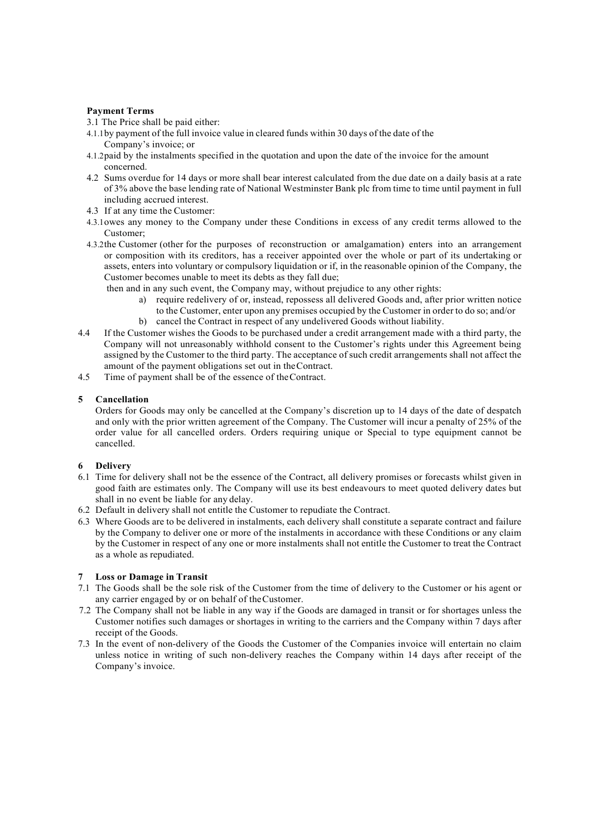## **Payment Terms**

- 3.1 The Price shall be paid either:
- 4.1.1by payment of the full invoice value in cleared funds within 30 days of the date of the Company's invoice; or
- 4.1.2paid by the instalments specified in the quotation and upon the date of the invoice for the amount concerned.
- 4.2 Sums overdue for 14 days or more shall bear interest calculated from the due date on a daily basis at a rate of 3% above the base lending rate of National Westminster Bank plc from time to time until payment in full including accrued interest.
- 4.3 If at any time the Customer:
- 4.3.1owes any money to the Company under these Conditions in excess of any credit terms allowed to the Customer;
- 4.3.2the Customer (other for the purposes of reconstruction or amalgamation) enters into an arrangement or composition with its creditors, has a receiver appointed over the whole or part of its undertaking or assets, enters into voluntary or compulsory liquidation or if, in the reasonable opinion of the Company, the Customer becomes unable to meet its debts as they fall due;

then and in any such event, the Company may, without prejudice to any other rights:

- a) require redelivery of or, instead, repossess all delivered Goods and, after prior written notice to the Customer, enter upon any premises occupied by the Customer in order to do so; and/or
- b) cancel the Contract in respect of any undelivered Goods without liability.
- 4.4 If the Customer wishes the Goods to be purchased under a credit arrangement made with a third party, the Company will not unreasonably withhold consent to the Customer's rights under this Agreement being assigned by the Customer to the third party. The acceptance of such credit arrangements shall not affect the amount of the payment obligations set out in theContract.
- 4.5 Time of payment shall be of the essence of theContract.

## **5 Cancellation**

Orders for Goods may only be cancelled at the Company's discretion up to 14 days of the date of despatch and only with the prior written agreement of the Company. The Customer will incur a penalty of 25% of the order value for all cancelled orders. Orders requiring unique or Special to type equipment cannot be cancelled.

## **6 Delivery**

- 6.1 Time for delivery shall not be the essence of the Contract, all delivery promises or forecasts whilst given in good faith are estimates only. The Company will use its best endeavours to meet quoted delivery dates but shall in no event be liable for any delay.
- 6.2 Default in delivery shall not entitle the Customer to repudiate the Contract.
- 6.3 Where Goods are to be delivered in instalments, each delivery shall constitute a separate contract and failure by the Company to deliver one or more of the instalments in accordance with these Conditions or any claim by the Customer in respect of any one or more instalments shall not entitle the Customer to treat the Contract as a whole as repudiated.

## **7 Loss or Damage in Transit**

- 7.1 The Goods shall be the sole risk of the Customer from the time of delivery to the Customer or his agent or any carrier engaged by or on behalf of theCustomer.
- 7.2 The Company shall not be liable in any way if the Goods are damaged in transit or for shortages unless the Customer notifies such damages or shortages in writing to the carriers and the Company within 7 days after receipt of the Goods.
- 7.3 In the event of non-delivery of the Goods the Customer of the Companies invoice will entertain no claim unless notice in writing of such non-delivery reaches the Company within 14 days after receipt of the Company's invoice.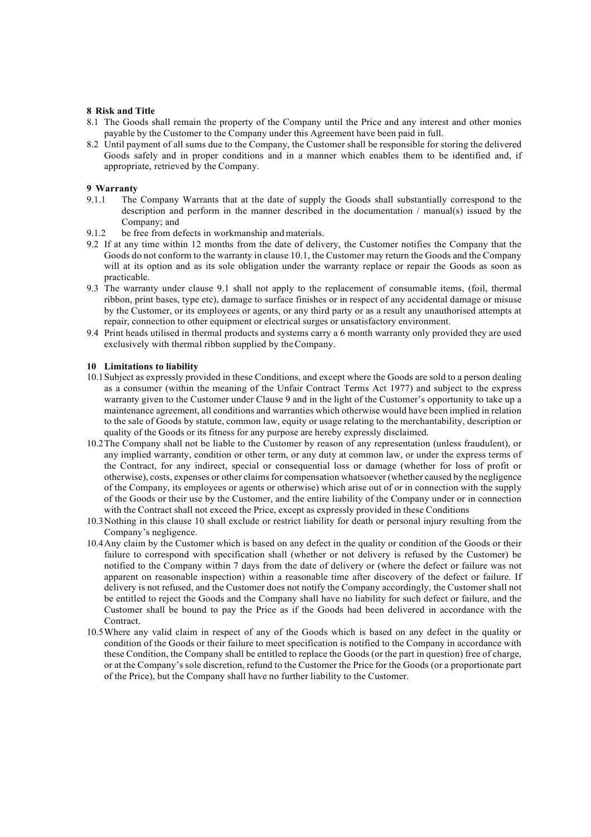#### **8 Risk and Title**

- 8.1 The Goods shall remain the property of the Company until the Price and any interest and other monies payable by the Customer to the Company under this Agreement have been paid in full.
- 8.2 Until payment of all sums due to the Company, the Customer shall be responsible for storing the delivered Goods safely and in proper conditions and in a manner which enables them to be identified and, if appropriate, retrieved by the Company.

# **9 Warranty**

- The Company Warrants that at the date of supply the Goods shall substantially correspond to the description and perform in the manner described in the documentation / manual(s) issued by the Company; and
- 9.1.2 be free from defects in workmanship and materials.
- 9.2 If at any time within 12 months from the date of delivery, the Customer notifies the Company that the Goods do not conform to the warranty in clause 10.1, the Customer may return the Goods and the Company will at its option and as its sole obligation under the warranty replace or repair the Goods as soon as practicable.
- 9.3 The warranty under clause 9.1 shall not apply to the replacement of consumable items, (foil, thermal ribbon, print bases, type etc), damage to surface finishes or in respect of any accidental damage or misuse by the Customer, or its employees or agents, or any third party or as a result any unauthorised attempts at repair, connection to other equipment or electrical surges or unsatisfactory environment.
- 9.4 Print heads utilised in thermal products and systems carry a 6 month warranty only provided they are used exclusively with thermal ribbon supplied by theCompany.

#### **10 Limitations to liability**

- 10.1Subject as expressly provided in these Conditions, and except where the Goods are sold to a person dealing as a consumer (within the meaning of the Unfair Contract Terms Act 1977) and subject to the express warranty given to the Customer under Clause 9 and in the light of the Customer's opportunity to take up a maintenance agreement, all conditions and warranties which otherwise would have been implied in relation to the sale of Goods by statute, common law, equity or usage relating to the merchantability, description or quality of the Goods or its fitness for any purpose are hereby expressly disclaimed.
- 10.2The Company shall not be liable to the Customer by reason of any representation (unless fraudulent), or any implied warranty, condition or other term, or any duty at common law, or under the express terms of the Contract, for any indirect, special or consequential loss or damage (whether for loss of profit or otherwise), costs, expenses or other claimsfor compensation whatsoever (whether caused by the negligence of the Company, its employees or agents or otherwise) which arise out of or in connection with the supply of the Goods or their use by the Customer, and the entire liability of the Company under or in connection with the Contract shall not exceed the Price, except as expressly provided in these Conditions
- 10.3Nothing in this clause 10 shall exclude or restrict liability for death or personal injury resulting from the Company's negligence.
- 10.4Any claim by the Customer which is based on any defect in the quality or condition of the Goods or their failure to correspond with specification shall (whether or not delivery is refused by the Customer) be notified to the Company within 7 days from the date of delivery or (where the defect or failure was not apparent on reasonable inspection) within a reasonable time after discovery of the defect or failure. If delivery is not refused, and the Customer does not notify the Company accordingly, the Customer shall not be entitled to reject the Goods and the Company shall have no liability for such defect or failure, and the Customer shall be bound to pay the Price as if the Goods had been delivered in accordance with the Contract.
- 10.5Where any valid claim in respect of any of the Goods which is based on any defect in the quality or condition of the Goods or their failure to meet specification is notified to the Company in accordance with these Condition, the Company shall be entitled to replace the Goods (or the part in question) free of charge, or at the Company's sole discretion, refund to the Customer the Price for the Goods (or a proportionate part of the Price), but the Company shall have no further liability to the Customer.